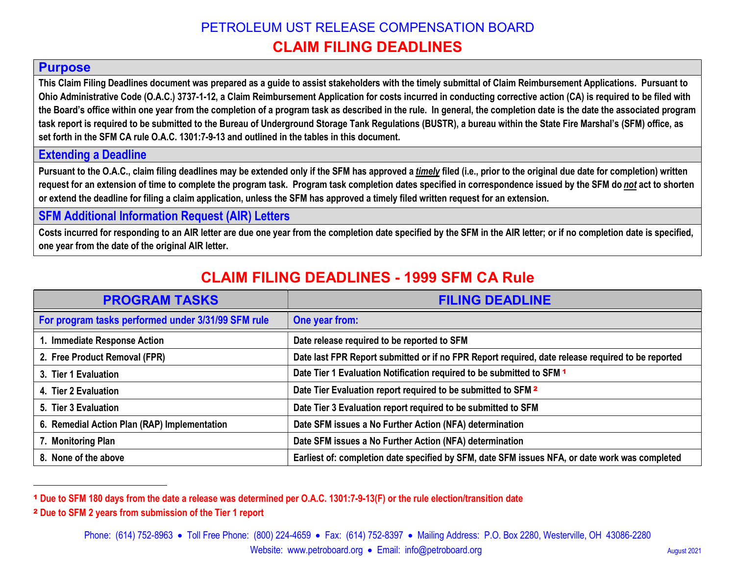# PETROLEUM UST RELEASE COMPENSATION BOARD CLAIM FILING DEADLINES

#### **Purpose**

 $\overline{a}$ 

This Claim Filing Deadlines document was prepared as a guide to assist stakeholders with the timely submittal of Claim Reimbursement Applications. Pursuant to Ohio Administrative Code (O.A.C.) 3737-1-12, a Claim Reimbursement Application for costs incurred in conducting corrective action (CA) is required to be filed with the Board's office within one year from the completion of a program task as described in the rule. In general, the completion date is the date the associated program task report is required to be submitted to the Bureau of Underground Storage Tank Regulations (BUSTR), a bureau within the State Fire Marshal's (SFM) office, as set forth in the SFM CA rule O.A.C. 1301:7-9-13 and outlined in the tables in this document.

#### Extending a Deadline

Pursuant to the O.A.C., claim filing deadlines may be extended only if the SFM has approved a *timely* filed (i.e., prior to the original due date for completion) written request for an extension of time to complete the program task. Program task completion dates specified in correspondence issued by the SFM do not act to shorten or extend the deadline for filing a claim application, unless the SFM has approved a timely filed written request for an extension.

#### SFM Additional Information Request (AIR) Letters

Costs incurred for responding to an AIR letter are due one year from the completion date specified by the SFM in the AIR letter; or if no completion date is specified, one year from the date of the original AIR letter.

| <b>PROGRAM TASKS</b>                               | <b>FILING DEADLINE</b>                                                                            |
|----------------------------------------------------|---------------------------------------------------------------------------------------------------|
| For program tasks performed under 3/31/99 SFM rule | One year from:                                                                                    |
| 1. Immediate Response Action                       | Date release required to be reported to SFM                                                       |
| 2. Free Product Removal (FPR)                      | Date last FPR Report submitted or if no FPR Report required, date release required to be reported |
| 3. Tier 1 Evaluation                               | Date Tier 1 Evaluation Notification required to be submitted to SFM 1                             |
| 4. Tier 2 Evaluation                               | Date Tier Evaluation report required to be submitted to SFM 2                                     |
| 5. Tier 3 Evaluation                               | Date Tier 3 Evaluation report required to be submitted to SFM                                     |
| 6. Remedial Action Plan (RAP) Implementation       | Date SFM issues a No Further Action (NFA) determination                                           |
| 7. Monitoring Plan                                 | Date SFM issues a No Further Action (NFA) determination                                           |
| 8. None of the above                               | Earliest of: completion date specified by SFM, date SFM issues NFA, or date work was completed    |

<sup>1</sup> Due to SFM 180 days from the date a release was determined per O.A.C. 1301:7-9-13(F) or the rule election/transition date <sup>2</sup> Due to SFM 2 years from submission of the Tier 1 report